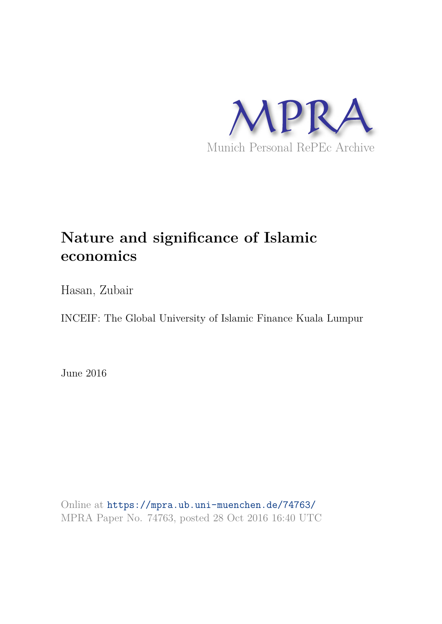

# **Nature and significance of Islamic economics**

Hasan, Zubair

INCEIF: The Global University of Islamic Finance Kuala Lumpur

June 2016

Online at https://mpra.ub.uni-muenchen.de/74763/ MPRA Paper No. 74763, posted 28 Oct 2016 16:40 UTC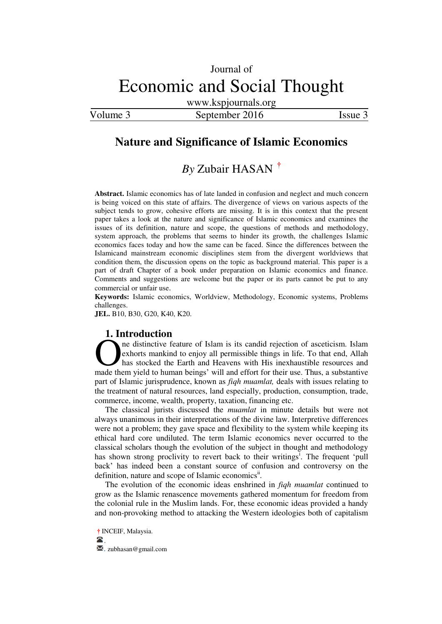www.kspjournals.org

Volume 3 September 2016 Issue 3

# **Nature and Significance of Islamic Economics**

# *By* Zubair HASAN**<sup>a</sup>[†](#page-1-0)**

**Abstract.** Islamic economics has of late landed in confusion and neglect and much concern is being voiced on this state of affairs. The divergence of views on various aspects of the subject tends to grow, cohesive efforts are missing. It is in this context that the present paper takes a look at the nature and significance of Islamic economics and examines the issues of its definition, nature and scope, the questions of methods and methodology, system approach, the problems that seems to hinder its growth, the challenges Islamic economics faces today and how the same can be faced. Since the differences between the Islamicand mainstream economic disciplines stem from the divergent worldviews that condition them, the discussion opens on the topic as background material. This paper is a part of draft Chapter of a book under preparation on Islamic economics and finance. Comments and suggestions are welcome but the paper or its parts cannot be put to any commercial or unfair use.

**Keywords:** Islamic economics, Worldview, Methodology, Economic systems, Problems challenges.

**JEL.** B10, B30, G20, K40, K20.

#### **1. Introduction**

ne distinctive feature of Islam is its candid rejection of asceticism. Islam exhorts mankind to enjoy all permissible things in life. To that end, Allah has stocked the Earth and Heavens with His inexhaustible resources and The distinctive feature of Islam is its candid rejection of asceticism. Islam<br>exhorts mankind to enjoy all permissible things in life. To that end, Allah<br>has stocked the Earth and Heavens with His inexhaustible resources a part of Islamic jurisprudence, known as *fiqh muamlat,* deals with issues relating to the treatment of natural resources, land especially, production, consumption, trade, commerce, income, wealth, property, taxation, financing etc.

The classical jurists discussed the *muamlat* in minute details but were not always unanimous in their interpretations of the divine law. Interpretive differences were not a problem; they gave space and flexibility to the system while keeping its ethical hard core undiluted. The term Islamic economics never occurred to the classical scholars though the evolution of the subject in thought and methodology has shown strong proclivity to revert back to their writings<sup>1</sup>. The frequent 'pull back" has indeed been a constant source of confusion and controversy on the definition, nature and scope of Islamic economics<sup>ii</sup>.

The evolution of the economic ideas enshrined in *fiqh muamlat* continued to grow as the Islamic renascence movements gathered momentum for freedom from the colonial rule in the Muslim lands. For, these economic ideas provided a handy and non-provoking method to attacking the Western ideologies both of capitalism

<span id="page-1-0"></span>**a †** INCEIF, Malaysia.

. **.** zubhasan@gmail.com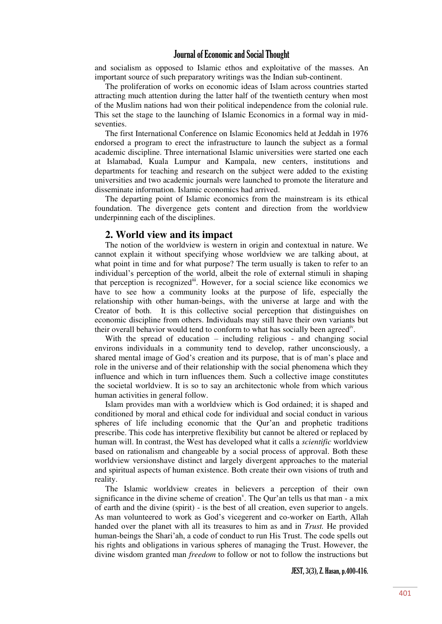and socialism as opposed to Islamic ethos and exploitative of the masses. An important source of such preparatory writings was the Indian sub-continent.

The proliferation of works on economic ideas of Islam across countries started attracting much attention during the latter half of the twentieth century when most of the Muslim nations had won their political independence from the colonial rule. This set the stage to the launching of Islamic Economics in a formal way in midseventies.

The first International Conference on Islamic Economics held at Jeddah in 1976 endorsed a program to erect the infrastructure to launch the subject as a formal academic discipline. Three international Islamic universities were started one each at Islamabad, Kuala Lumpur and Kampala, new centers, institutions and departments for teaching and research on the subject were added to the existing universities and two academic journals were launched to promote the literature and disseminate information. Islamic economics had arrived.

The departing point of Islamic economics from the mainstream is its ethical foundation. The divergence gets content and direction from the worldview underpinning each of the disciplines.

#### **2. World view and its impact**

The notion of the worldview is western in origin and contextual in nature. We cannot explain it without specifying whose worldview we are talking about, at what point in time and for what purpose? The term usually is taken to refer to an individual"s perception of the world, albeit the role of external stimuli in shaping that perception is recognizediii. However, for a social science like economics we have to see how a community looks at the purpose of life, especially the relationship with other human-beings, with the universe at large and with the Creator of both. It is this collective social perception that distinguishes on economic discipline from others. Individuals may still have their own variants but their overall behavior would tend to conform to what has socially been agreed<sup>iv</sup>.

With the spread of education – including religious - and changing social environs individuals in a community tend to develop, rather unconsciously, a shared mental image of God"s creation and its purpose, that is of man"s place and role in the universe and of their relationship with the social phenomena which they influence and which in turn influences them. Such a collective image constitutes the societal worldview. It is so to say an architectonic whole from which various human activities in general follow.

Islam provides man with a worldview which is God ordained; it is shaped and conditioned by moral and ethical code for individual and social conduct in various spheres of life including economic that the Qur'an and prophetic traditions prescribe. This code has interpretive flexibility but cannot be altered or replaced by human will. In contrast, the West has developed what it calls a *scientific* worldview based on rationalism and changeable by a social process of approval. Both these worldview versionshave distinct and largely divergent approaches to the material and spiritual aspects of human existence. Both create their own visions of truth and reality.

The Islamic worldview creates in believers a perception of their own significance in the divine scheme of creation<sup> $v$ </sup>. The Qur'an tells us that man - a mix of earth and the divine (spirit) - is the best of all creation, even superior to angels. As man volunteered to work as God's vicegerent and co-worker on Earth, Allah handed over the planet with all its treasures to him as and in *Trust.* He provided human-beings the Shari'ah, a code of conduct to run His Trust. The code spells out his rights and obligations in various spheres of managing the Trust. However, the divine wisdom granted man *freedom* to follow or not to follow the instructions but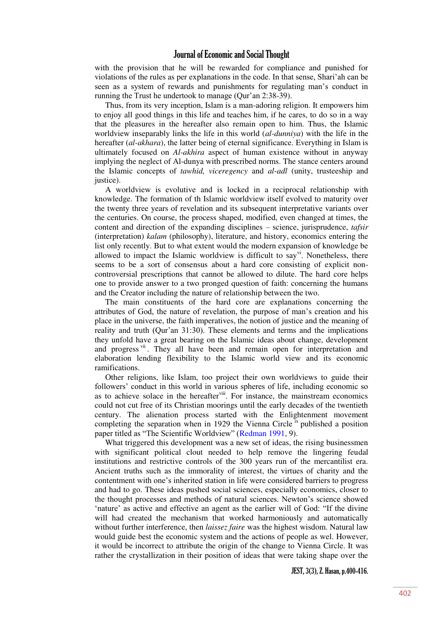with the provision that he will be rewarded for compliance and punished for violations of the rules as per explanations in the code. In that sense, Shari"ah can be seen as a system of rewards and punishments for regulating man"s conduct in running the Trust he undertook to manage (Qur'an 2:38-39).

Thus, from its very inception, Islam is a man-adoring religion. It empowers him to enjoy all good things in this life and teaches him, if he cares, to do so in a way that the pleasures in the hereafter also remain open to him. Thus, the Islamic worldview inseparably links the life in this world (*al-dunniya*) with the life in the hereafter (*al-akhara*), the latter being of eternal significance. Everything in Islam is ultimately focused on *Al-akhira* aspect of human existence without in anyway implying the neglect of Al-dunya with prescribed norms. The stance centers around the Islamic concepts of *tawhid, viceregency* and *al-adl* (unity, trusteeship and justice).

A worldview is evolutive and is locked in a reciprocal relationship with knowledge. The formation of th Islamic worldview itself evolved to maturity over the twenty three years of revelation and its subsequent interpretative variants over the centuries. On course, the process shaped, modified, even changed at times, the content and direction of the expanding disciplines – science, jurisprudence, *tafsir* (interpretation) *kalam* (philosophy), literature, and history, economics entering the list only recently. But to what extent would the modern expansion of knowledge be allowed to impact the Islamic worldview is difficult to say<sup>vi</sup>. Nonetheless, there seems to be a sort of consensus about a hard core consisting of explicit noncontroversial prescriptions that cannot be allowed to dilute. The hard core helps one to provide answer to a two pronged question of faith: concerning the humans and the Creator including the nature of relationship between the two.

The main constituents of the hard core are explanations concerning the attributes of God, the nature of revelation, the purpose of man"s creation and his place in the universe, the faith imperatives, the notion of justice and the meaning of reality and truth (Qur"an 31:30). These elements and terms and the implications they unfold have a great bearing on the Islamic ideas about change, development and progress vii. They all have been and remain open for interpretation and elaboration lending flexibility to the Islamic world view and its economic ramifications.

Other religions, like Islam, too project their own worldviews to guide their followers' conduct in this world in various spheres of life, including economic so as to achieve solace in the hereafter<sup>viii</sup>. For instance, the mainstream economics could not cut free of its Christian moorings until the early decades of the twentieth century. The alienation process started with the Enlightenment movement completing the separation when in 1929 the Vienna Circle  $\frac{1}{x}$  published a position paper titled as "The Scientific Worldview" ([Redman 1991,](#page-17-0) 9).

What triggered this development was a new set of ideas, the rising businessmen with significant political clout needed to help remove the lingering feudal institutions and restrictive controls of the 300 years run of the mercantilist era. Ancient truths such as the immorality of interest, the virtues of charity and the contentment with one"s inherited station in life were considered barriers to progress and had to go. These ideas pushed social sciences, especially economics, closer to the thought processes and methods of natural sciences. Newton"s science showed 'nature' as active and effective an agent as the earlier will of God: "If the divine will had created the mechanism that worked harmoniously and automatically without further interference, then *laissez faire* was the highest wisdom. Natural law would guide best the economic system and the actions of people as wel. However, it would be incorrect to attribute the origin of the change to Vienna Circle. It was rather the crystallization in their position of ideas that were taking shape over the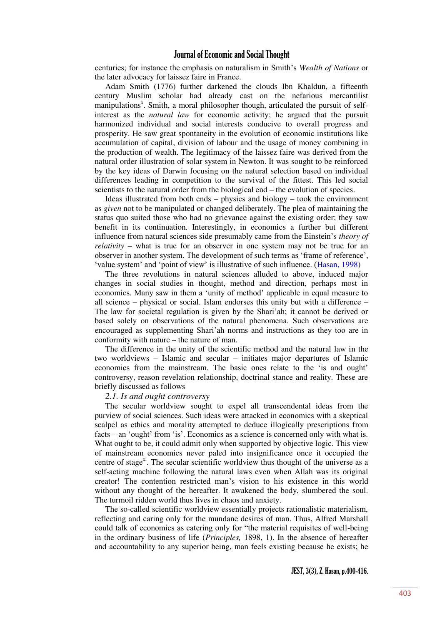centuries; for instance the emphasis on naturalism in Smith"s *Wealth of Nations* or the later advocacy for laissez faire in France.

Adam Smith (1776) further darkened the clouds Ibn Khaldun, a fifteenth century Muslim scholar had already cast on the nefarious mercantilist manipulations<sup>x</sup>. Smith, a moral philosopher though, articulated the pursuit of selfinterest as the *natural law* for economic activity; he argued that the pursuit harmonized individual and social interests conducive to overall progress and prosperity. He saw great spontaneity in the evolution of economic institutions like accumulation of capital, division of labour and the usage of money combining in the production of wealth. The legitimacy of the laissez faire was derived from the natural order illustration of solar system in Newton. It was sought to be reinforced by the key ideas of Darwin focusing on the natural selection based on individual differences leading in competition to the survival of the fittest. This led social scientists to the natural order from the biological end – the evolution of species.

Ideas illustrated from both ends – physics and biology – took the environment as *given* not to be manipulated or changed deliberately. The plea of maintaining the status quo suited those who had no grievance against the existing order; they saw benefit in its continuation. Interestingly, in economics a further but different influence from natural sciences side presumably came from the Einstein"s *theory of relativity* – what is true for an observer in one system may not be true for an observer in another system. The development of such terms as "frame of reference", 'value system' and 'point of view' is illustrative of such influence. ([Hasan, 1998\)](#page-16-0)

The three revolutions in natural sciences alluded to above, induced major changes in social studies in thought, method and direction, perhaps most in economics. Many saw in them a "unity of method" applicable in equal measure to all science – physical or social. Islam endorses this unity but with a difference – The law for societal regulation is given by the Shari"ah; it cannot be derived or based solely on observations of the natural phenomena. Such observations are encouraged as supplementing Shari"ah norms and instructions as they too are in conformity with nature – the nature of man.

The difference in the unity of the scientific method and the natural law in the two worldviews – Islamic and secular – initiates major departures of Islamic economics from the mainstream. The basic ones relate to the "is and ought" controversy, reason revelation relationship, doctrinal stance and reality. These are briefly discussed as follows

#### *2.1. Is and ought controversy*

The secular worldview sought to expel all transcendental ideas from the purview of social sciences. Such ideas were attacked in economics with a skeptical scalpel as ethics and morality attempted to deduce illogically prescriptions from facts – an "ought" from "is". Economics as a science is concerned only with what is. What ought to be, it could admit only when supported by objective logic. This view of mainstream economics never paled into insignificance once it occupied the centre of stage<sup>xi</sup>. The secular scientific worldview thus thought of the universe as a self-acting machine following the natural laws even when Allah was its original creator! The contention restricted man"s vision to his existence in this world without any thought of the hereafter. It awakened the body, slumbered the soul. The turmoil ridden world thus lives in chaos and anxiety.

The so-called scientific worldview essentially projects rationalistic materialism, reflecting and caring only for the mundane desires of man. Thus, Alfred Marshall could talk of economics as catering only for "the material requisites of well-being in the ordinary business of life (*Principles,* 1898, 1). In the absence of hereafter and accountability to any superior being, man feels existing because he exists; he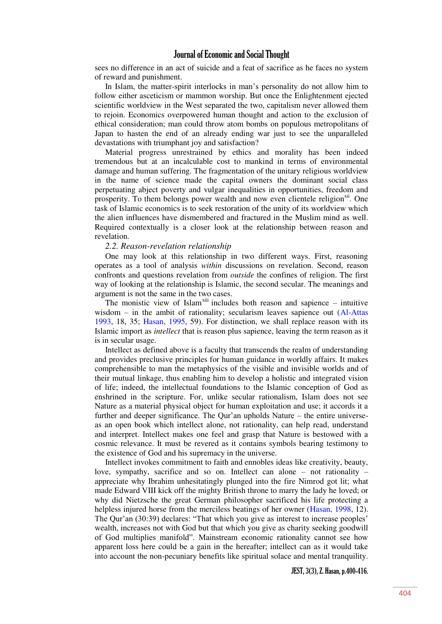sees no difference in an act of suicide and a feat of sacrifice as he faces no system of reward and punishment.

In Islam, the matter-spirit interlocks in man"s personality do not allow him to follow either asceticism or mammon worship. But once the Enlightenment ejected scientific worldview in the West separated the two, capitalism never allowed them to rejoin. Economics overpowered human thought and action to the exclusion of ethical consideration; man could throw atom bombs on populous metropolitans of Japan to hasten the end of an already ending war just to see the unparalleled devastations with triumphant joy and satisfaction?

Material progress unrestrained by ethics and morality has been indeed tremendous but at an incalculable cost to mankind in terms of environmental damage and human suffering. The fragmentation of the unitary religious worldview in the name of science made the capital owners the dominant social class perpetuating abject poverty and vulgar inequalities in opportunities, freedom and prosperity. To them belongs power wealth and now even clientele religion $\frac{x}{n}$ . One task of Islamic economics is to seek restoration of the unity of its worldview which the alien influences have dismembered and fractured in the Muslim mind as well. Required contextually is a closer look at the relationship between reason and revelation.

#### *2.2. Reason-revelation relationship*

One may look at this relationship in two different ways. First, reasoning operates as a tool of analysis *within* discussions on revelation. Second, reason confronts and questions revelation from *outside* the confines of religion. The first way of looking at the relationship is Islamic, the second secular. The meanings and argument is not the same in the two cases.

The monistic view of Islam<sup>xiii</sup> includes both reason and sapience – intuitive wisdom – in the ambit of rationality; secularism leaves sapience out (Al-Attas [1993,](#page-16-1) 18, 35; [Hasan, 1995,](#page-16-2) 59). For distinction, we shall replace reason with its Islamic import as *intellect* that is reason plus sapience, leaving the term reason as it is in secular usage.

Intellect as defined above is a faculty that transcends the realm of understanding and provides preclusive principles for human guidance in worldly affairs. It makes comprehensible to man the metaphysics of the visible and invisible worlds and of their mutual linkage, thus enabling him to develop a holistic and integrated vision of life; indeed, the intellectual foundations to the Islamic conception of God as enshrined in the scripture. For, unlike secular rationalism, Islam does not see Nature as a material physical object for human exploitation and use; it accords it a further and deeper significance. The Qur"an upholds Nature – the entire universeas an open book which intellect alone, not rationality, can help read, understand and interpret. Intellect makes one feel and grasp that Nature is bestowed with a cosmic relevance. It must be revered as it contains symbols bearing testimony to the existence of God and his supremacy in the universe.

Intellect invokes commitment to faith and ennobles ideas like creativity, beauty, love, sympathy, sacrifice and so on. Intellect can alone – not rationality – appreciate why Ibrahim unhesitatingly plunged into the fire Nimrod got lit; what made Edward VIII kick off the mighty British throne to marry the lady he loved; or why did Nietzsche the great German philosopher sacrificed his life protecting a helpless injured horse from the merciless beatings of her owner [\(Hasan, 1998,](#page-16-0) 12). The Qur'an (30:39) declares: "That which you give as interest to increase peoples" wealth, increases not with God but that which you give as charity seeking goodwill of God multiplies manifold". Mainstream economic rationality cannot see how apparent loss here could be a gain in the hereafter; intellect can as it would take into account the non-pecuniary benefits like spiritual solace and mental tranquility.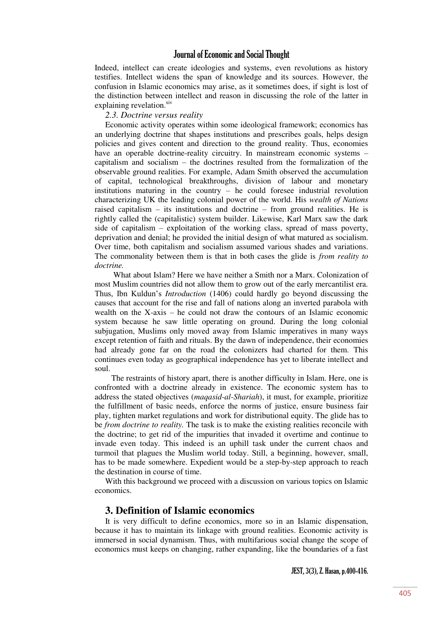Indeed, intellect can create ideologies and systems, even revolutions as history testifies. Intellect widens the span of knowledge and its sources. However, the confusion in Islamic economics may arise, as it sometimes does, if sight is lost of the distinction between intellect and reason in discussing the role of the latter in explaining revelation.<sup>xiv</sup>

#### *2.3. Doctrine versus reality*

Economic activity operates within some ideological framework; economics has an underlying doctrine that shapes institutions and prescribes goals, helps design policies and gives content and direction to the ground reality. Thus, economies have an operable doctrine-reality circuitry. In mainstream economic systems – capitalism and socialism – the doctrines resulted from the formalization of the observable ground realities. For example, Adam Smith observed the accumulation of capital, technological breakthroughs, division of labour and monetary institutions maturing in the country – he could foresee industrial revolution characterizing UK the leading colonial power of the world. His *wealth of Nations* raised capitalism – its institutions and doctrine – from ground realities. He is rightly called the (capitalistic) system builder. Likewise, Karl Marx saw the dark side of capitalism – exploitation of the working class, spread of mass poverty, deprivation and denial; he provided the initial design of what matured as socialism. Over time, both capitalism and socialism assumed various shades and variations. The commonality between them is that in both cases the glide is *from reality to doctrine.*

 What about Islam? Here we have neither a Smith nor a Marx. Colonization of most Muslim countries did not allow them to grow out of the early mercantilist era. Thus, Ibn Kuldun"s *Introduction* (1406) could hardly go beyond discussing the causes that account for the rise and fall of nations along an inverted parabola with wealth on the X-axis – he could not draw the contours of an Islamic economic system because he saw little operating on ground. During the long colonial subjugation, Muslims only moved away from Islamic imperatives in many ways except retention of faith and rituals. By the dawn of independence, their economies had already gone far on the road the colonizers had charted for them. This continues even today as geographical independence has yet to liberate intellect and soul.

 The restraints of history apart, there is another difficulty in Islam. Here, one is confronted with a doctrine already in existence. The economic system has to address the stated objectives (*maqasid-al-Shariah*), it must, for example, prioritize the fulfillment of basic needs, enforce the norms of justice, ensure business fair play, tighten market regulations and work for distributional equity. The glide has to be *from doctrine to reality.* The task is to make the existing realities reconcile with the doctrine; to get rid of the impurities that invaded it overtime and continue to invade even today. This indeed is an uphill task under the current chaos and turmoil that plagues the Muslim world today. Still, a beginning, however, small, has to be made somewhere. Expedient would be a step-by-step approach to reach the destination in course of time.

With this background we proceed with a discussion on various topics on Islamic economics.

### **3. Definition of Islamic economics**

It is very difficult to define economics, more so in an Islamic dispensation, because it has to maintain its linkage with ground realities. Economic activity is immersed in social dynamism. Thus, with multifarious social change the scope of economics must keeps on changing, rather expanding, like the boundaries of a fast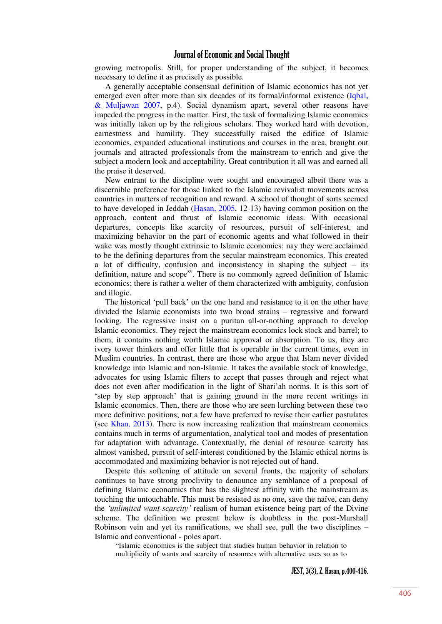growing metropolis. Still, for proper understanding of the subject, it becomes necessary to define it as precisely as possible.

A generally acceptable consensual definition of Islamic economics has not yet emerged even after more than six decades of its formal/informal existence (Iqbal, [& Muljawan 2007,](#page-17-1) p.4). Social dynamism apart, several other reasons have impeded the progress in the matter. First, the task of formalizing Islamic economics was initially taken up by the religious scholars. They worked hard with devotion, earnestness and humility. They successfully raised the edifice of Islamic economics, expanded educational institutions and courses in the area, brought out journals and attracted professionals from the mainstream to enrich and give the subject a modern look and acceptability. Great contribution it all was and earned all the praise it deserved.

New entrant to the discipline were sought and encouraged albeit there was a discernible preference for those linked to the Islamic revivalist movements across countries in matters of recognition and reward. A school of thought of sorts seemed to have developed in Jeddah [\(Hasan, 2005,](#page-16-3) 12-13) having common position on the approach, content and thrust of Islamic economic ideas. With occasional departures, concepts like scarcity of resources, pursuit of self-interest, and maximizing behavior on the part of economic agents and what followed in their wake was mostly thought extrinsic to Islamic economics; nay they were acclaimed to be the defining departures from the secular mainstream economics. This created a lot of difficulty, confusion and inconsistency in shaping the subject – its definition, nature and scope<sup>xv</sup>. There is no commonly agreed definition of Islamic economics; there is rather a welter of them characterized with ambiguity, confusion and illogic.

The historical "pull back" on the one hand and resistance to it on the other have divided the Islamic economists into two broad strains – regressive and forward looking. The regressive insist on a puritan all-or-nothing approach to develop Islamic economics. They reject the mainstream economics lock stock and barrel; to them, it contains nothing worth Islamic approval or absorption. To us, they are ivory tower thinkers and offer little that is operable in the current times, even in Muslim countries. In contrast, there are those who argue that Islam never divided knowledge into Islamic and non-Islamic. It takes the available stock of knowledge, advocates for using Islamic filters to accept that passes through and reject what does not even after modification in the light of Shari"ah norms. It is this sort of "step by step approach" that is gaining ground in the more recent writings in Islamic economics. Then, there are those who are seen lurching between these two more definitive positions; not a few have preferred to revise their earlier postulates (see [Khan, 2013\)](#page-17-2). There is now increasing realization that mainstream economics contains much in terms of argumentation, analytical tool and modes of presentation for adaptation with advantage. Contextually, the denial of resource scarcity has almost vanished, pursuit of self-interest conditioned by the Islamic ethical norms is accommodated and maximizing behavior is not rejected out of hand.

Despite this softening of attitude on several fronts, the majority of scholars continues to have strong proclivity to denounce any semblance of a proposal of defining Islamic economics that has the slightest affinity with the mainstream as touching the untouchable. This must be resisted as no one, save the naïve, can deny the *'unlimited want-scarcity'* realism of human existence being part of the Divine scheme. The definition we present below is doubtless in the post-Marshall Robinson vein and yet its ramifications, we shall see, pull the two disciplines – Islamic and conventional - poles apart.

"Islamic economics is the subject that studies human behavior in relation to multiplicity of wants and scarcity of resources with alternative uses so as to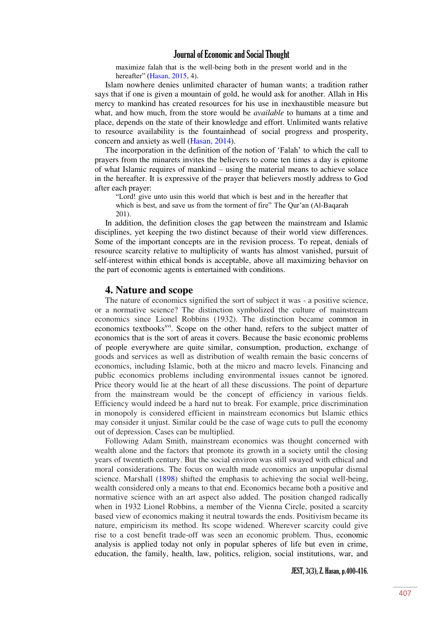maximize falah that is the well-being both in the present world and in the hereafter" ([Hasan, 2015,](#page-16-3) 4).

Islam nowhere denies unlimited character of human wants; a tradition rather says that if one is given a mountain of gold, he would ask for another. Allah in His mercy to mankind has created resources for his use in inexhaustible measure but what, and how much, from the store would be *available* to humans at a time and place, depends on the state of their knowledge and effort. Unlimited wants relative to resource availability is the fountainhead of social progress and prosperity, concern and anxiety as well [\(Hasan, 2014\)](#page-16-4).

The incorporation in the definition of the notion of "Falah" to which the call to prayers from the minarets invites the believers to come ten times a day is epitome of what Islamic requires of mankind – using the material means to achieve solace in the hereafter. It is expressive of the prayer that believers mostly address to God after each prayer:

"Lord! give unto usin this world that which is best and in the hereafter that which is best, and save us from the torment of fire" The Qur'an (Al-Baqarah 201).

In addition, the definition closes the gap between the mainstream and Islamic disciplines, yet keeping the two distinct because of their world view differences. Some of the important concepts are in the revision process. To repeat, denials of resource scarcity relative to multiplicity of wants has almost vanished, pursuit of self-interest within ethical bonds is acceptable, above all maximizing behavior on the part of economic agents is entertained with conditions.

# **4. Nature and scope**

The nature of economics signified the sort of subject it was - a positive science, or a normative science? The distinction symbolized the culture of mainstream economics since Lionel Robbins (1932). The distinction became common in economics textbooks<sup>xvi</sup>. Scope on the other hand, refers to the subject matter of economics that is the sort of areas it covers. Because the basic economic problems of people everywhere are quite similar, consumption, production, exchange of goods and services as well as distribution of wealth remain the basic concerns of economics, including Islamic, both at the micro and macro levels. Financing and public economics problems including environmental issues cannot be ignored. Price theory would lie at the heart of all these discussions. The point of departure from the mainstream would be the concept of efficiency in various fields. Efficiency would indeed be a hard nut to break. For example, price discrimination in monopoly is considered efficient in mainstream economics but Islamic ethics may consider it unjust. Similar could be the case of wage cuts to pull the economy out of depression. Cases can be multiplied.

Following Adam Smith, mainstream economics was thought concerned with wealth alone and the factors that promote its growth in a society until the closing years of twentieth century. But the social environ was still swayed with ethical and moral considerations. The focus on wealth made economics an unpopular dismal science. Marshall [\(1898\)](#page-17-3) shifted the emphasis to achieving the social well-being, wealth considered only a means to that end. Economics became both a positive and normative science with an art aspect also added. The position changed radically when in 1932 Lionel Robbins, a member of the Vienna Circle, posited a scarcity based view of economics making it neutral towards the ends. Positivism became its nature, empiricism its method. Its scope widened. Wherever scarcity could give rise to a cost benefit trade-off was seen an economic problem. Thus, economic analysis is applied today not only in popular spheres of life but even in crime, education, the family, health, law, politics, religion, social institutions, war, and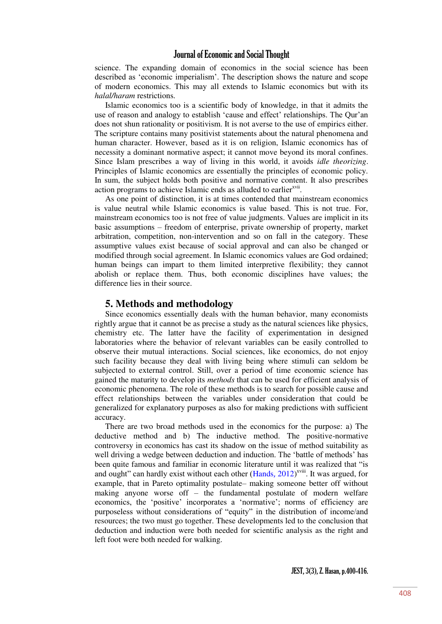science. The expanding domain of economics in the social science has been described as "economic imperialism". The description shows the nature and scope of modern economics. This may all extends to Islamic economics but with its *halal/haram* restrictions.

Islamic economics too is a scientific body of knowledge, in that it admits the use of reason and analogy to establish "cause and effect" relationships. The Qur"an does not shun rationality or positivism. It is not averse to the use of empirics either. The scripture contains many positivist statements about the natural phenomena and human character. However, based as it is on religion, Islamic economics has of necessity a dominant normative aspect; it cannot move beyond its moral confines. Since Islam prescribes a way of living in this world, it avoids *idle theorizing*. Principles of Islamic economics are essentially the principles of economic policy. In sum, the subject holds both positive and normative content. It also prescribes action programs to achieve Islamic ends as alluded to earlier<sup>xvii</sup>.

As one point of distinction, it is at times contended that mainstream economics is value neutral while Islamic economics is value based. This is not true. For, mainstream economics too is not free of value judgments. Values are implicit in its basic assumptions – freedom of enterprise, private ownership of property, market arbitration, competition, non-intervention and so on fall in the category. These assumptive values exist because of social approval and can also be changed or modified through social agreement. In Islamic economics values are God ordained; human beings can impart to them limited interpretive flexibility; they cannot abolish or replace them. Thus, both economic disciplines have values; the difference lies in their source.

#### **5. Methods and methodology**

Since economics essentially deals with the human behavior, many economists rightly argue that it cannot be as precise a study as the natural sciences like physics, chemistry etc. The latter have the facility of experimentation in designed laboratories where the behavior of relevant variables can be easily controlled to observe their mutual interactions. Social sciences, like economics, do not enjoy such facility because they deal with living being where stimuli can seldom be subjected to external control. Still, over a period of time economic science has gained the maturity to develop its *methods* that can be used for efficient analysis of economic phenomena. The role of these methods is to search for possible cause and effect relationships between the variables under consideration that could be generalized for explanatory purposes as also for making predictions with sufficient accuracy.

There are two broad methods used in the economics for the purpose: a) The deductive method and b) The inductive method. The positive-normative controversy in economics has cast its shadow on the issue of method suitability as well driving a wedge between deduction and induction. The "battle of methods" has been quite famous and familiar in economic literature until it was realized that "is and ought" can hardly exist without each other  $(Hands, 2012)^{xviii}$  $(Hands, 2012)^{xviii}$  $(Hands, 2012)^{xviii}$ . It was argued, for example, that in Pareto optimality postulate– making someone better off without making anyone worse off – the fundamental postulate of modern welfare economics, the 'positive' incorporates a 'normative'; norms of efficiency are purposeless without considerations of "equity" in the distribution of income/and resources; the two must go together. These developments led to the conclusion that deduction and induction were both needed for scientific analysis as the right and left foot were both needed for walking.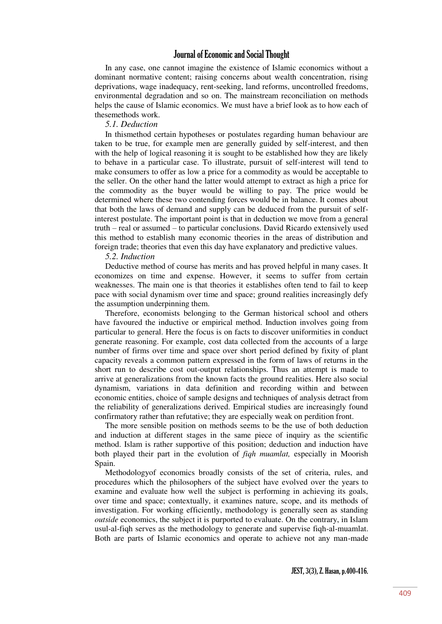In any case, one cannot imagine the existence of Islamic economics without a dominant normative content; raising concerns about wealth concentration, rising deprivations, wage inadequacy, rent-seeking, land reforms, uncontrolled freedoms, environmental degradation and so on. The mainstream reconciliation on methods helps the cause of Islamic economics. We must have a brief look as to how each of thesemethods work.

#### *5.1. Deduction*

In thismethod certain hypotheses or postulates regarding human behaviour are taken to be true, for example men are generally guided by self-interest, and then with the help of logical reasoning it is sought to be established how they are likely to behave in a particular case. To illustrate, pursuit of self-interest will tend to make consumers to offer as low a price for a commodity as would be acceptable to the seller. On the other hand the latter would attempt to extract as high a price for the commodity as the buyer would be willing to pay. The price would be determined where these two contending forces would be in balance. It comes about that both the laws of demand and supply can be deduced from the pursuit of selfinterest postulate. The important point is that in deduction we move from a general truth – real or assumed – to particular conclusions. David Ricardo extensively used this method to establish many economic theories in the areas of distribution and foreign trade; theories that even this day have explanatory and predictive values.

#### *5.2. Induction*

Deductive method of course has merits and has proved helpful in many cases. It economizes on time and expense. However, it seems to suffer from certain weaknesses. The main one is that theories it establishes often tend to fail to keep pace with social dynamism over time and space; ground realities increasingly defy the assumption underpinning them.

Therefore, economists belonging to the German historical school and others have favoured the inductive or empirical method. Induction involves going from particular to general. Here the focus is on facts to discover uniformities in conduct generate reasoning. For example, cost data collected from the accounts of a large number of firms over time and space over short period defined by fixity of plant capacity reveals a common pattern expressed in the form of laws of returns in the short run to describe cost out-output relationships. Thus an attempt is made to arrive at generalizations from the known facts the ground realities. Here also social dynamism, variations in data definition and recording within and between economic entities, choice of sample designs and techniques of analysis detract from the reliability of generalizations derived. Empirical studies are increasingly found confirmatory rather than refutative; they are especially weak on perdition front.

The more sensible position on methods seems to be the use of both deduction and induction at different stages in the same piece of inquiry as the scientific method. Islam is rather supportive of this position; deduction and induction have both played their part in the evolution of *fiqh muamlat,* especially in Moorish Spain.

Methodologyof economics broadly consists of the set of criteria, rules, and procedures which the philosophers of the subject have evolved over the years to examine and evaluate how well the subject is performing in achieving its goals, over time and space; contextually, it examines nature, scope, and its methods of investigation. For working efficiently, methodology is generally seen as standing *outside* economics, the subject it is purported to evaluate. On the contrary, in Islam usul-al-fiqh serves as the methodology to generate and supervise fiqh-al-muamlat. Both are parts of Islamic economics and operate to achieve not any man-made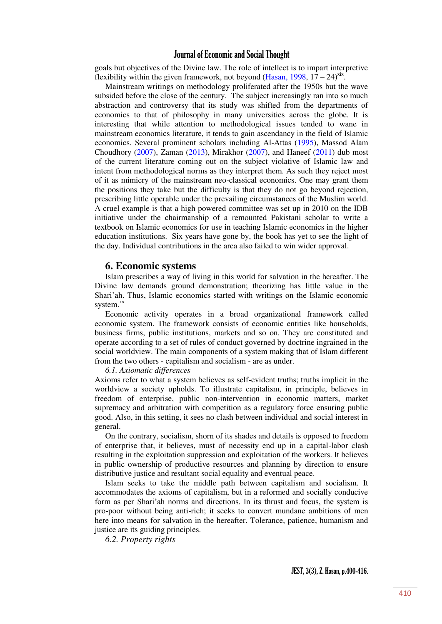goals but objectives of the Divine law. The role of intellect is to impart interpretive flexibility within the given framework, not beyond [\(Hasan, 1998,](#page-16-0)  $17 - 24$ )<sup>xix</sup>.

Mainstream writings on methodology proliferated after the 1950s but the wave subsided before the close of the century. The subject increasingly ran into so much abstraction and controversy that its study was shifted from the departments of economics to that of philosophy in many universities across the globe. It is interesting that while attention to methodological issues tended to wane in mainstream economics literature, it tends to gain ascendancy in the field of Islamic economics. Several prominent scholars including Al-Attas [\(1995\)](#page-16-1), Massod Alam Choudhory  $(2007)$ , Zaman  $(2013)$ , Mirakhor  $(2007)$ , and Haneef  $(2011)$  dub most of the current literature coming out on the subject violative of Islamic law and intent from methodological norms as they interpret them. As such they reject most of it as mimicry of the mainstream neo-classical economics. One may grant them the positions they take but the difficulty is that they do not go beyond rejection, prescribing little operable under the prevailing circumstances of the Muslim world. A cruel example is that a high powered committee was set up in 2010 on the IDB initiative under the chairmanship of a remounted Pakistani scholar to write a textbook on Islamic economics for use in teaching Islamic economics in the higher education institutions. Six years have gone by, the book has yet to see the light of the day. Individual contributions in the area also failed to win wider approval.

#### **6. Economic systems**

Islam prescribes a way of living in this world for salvation in the hereafter. The Divine law demands ground demonstration; theorizing has little value in the Shari"ah. Thus, Islamic economics started with writings on the Islamic economic system.<sup>xx</sup>

Economic activity operates in a broad organizational framework called economic system. The framework consists of economic entities like households, business firms, public institutions, markets and so on. They are constituted and operate according to a set of rules of conduct governed by doctrine ingrained in the social worldview. The main components of a system making that of Islam different from the two others - capitalism and socialism - are as under.

*6.1. Axiomatic differences*

Axioms refer to what a system believes as self-evident truths; truths implicit in the worldview a society upholds. To illustrate capitalism, in principle, believes in freedom of enterprise, public non-intervention in economic matters, market supremacy and arbitration with competition as a regulatory force ensuring public good. Also, in this setting, it sees no clash between individual and social interest in general.

On the contrary, socialism, shorn of its shades and details is opposed to freedom of enterprise that, it believes, must of necessity end up in a capital-labor clash resulting in the exploitation suppression and exploitation of the workers. It believes in public ownership of productive resources and planning by direction to ensure distributive justice and resultant social equality and eventual peace.

Islam seeks to take the middle path between capitalism and socialism. It accommodates the axioms of capitalism, but in a reformed and socially conducive form as per Shari"ah norms and directions. In its thrust and focus, the system is pro-poor without being anti-rich; it seeks to convert mundane ambitions of men here into means for salvation in the hereafter. Tolerance, patience, humanism and justice are its guiding principles.

*6.2. Property rights*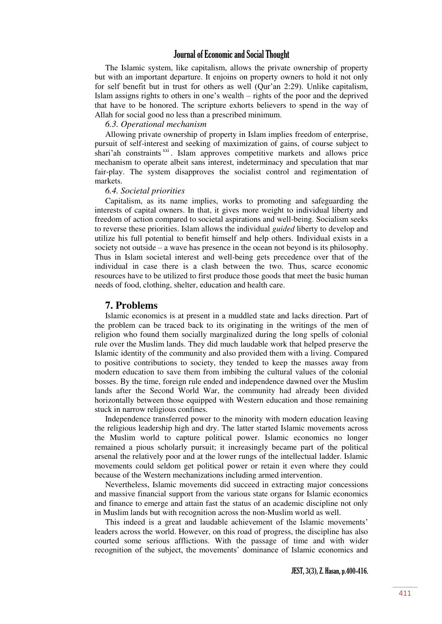The Islamic system, like capitalism, allows the private ownership of property but with an important departure. It enjoins on property owners to hold it not only for self benefit but in trust for others as well (Qur"an 2:29). Unlike capitalism, Islam assigns rights to others in one"s wealth – rights of the poor and the deprived that have to be honored. The scripture exhorts believers to spend in the way of Allah for social good no less than a prescribed minimum.

#### *6.3. Operational mechanism*

Allowing private ownership of property in Islam implies freedom of enterprise, pursuit of self-interest and seeking of maximization of gains, of course subject to shari'ah constraints<sup>xxi</sup>. Islam approves competitive markets and allows price mechanism to operate albeit sans interest, indeterminacy and speculation that mar fair-play. The system disapproves the socialist control and regimentation of markets.

#### *6.4. Societal priorities*

Capitalism, as its name implies, works to promoting and safeguarding the interests of capital owners. In that, it gives more weight to individual liberty and freedom of action compared to societal aspirations and well-being. Socialism seeks to reverse these priorities. Islam allows the individual *guided* liberty to develop and utilize his full potential to benefit himself and help others. Individual exists in a society not outside – a wave has presence in the ocean not beyond is its philosophy. Thus in Islam societal interest and well-being gets precedence over that of the individual in case there is a clash between the two. Thus, scarce economic resources have to be utilized to first produce those goods that meet the basic human needs of food, clothing, shelter, education and health care.

#### **7. Problems**

Islamic economics is at present in a muddled state and lacks direction. Part of the problem can be traced back to its originating in the writings of the men of religion who found them socially marginalized during the long spells of colonial rule over the Muslim lands. They did much laudable work that helped preserve the Islamic identity of the community and also provided them with a living. Compared to positive contributions to society, they tended to keep the masses away from modern education to save them from imbibing the cultural values of the colonial bosses. By the time, foreign rule ended and independence dawned over the Muslim lands after the Second World War, the community had already been divided horizontally between those equipped with Western education and those remaining stuck in narrow religious confines.

Independence transferred power to the minority with modern education leaving the religious leadership high and dry. The latter started Islamic movements across the Muslim world to capture political power. Islamic economics no longer remained a pious scholarly pursuit; it increasingly became part of the political arsenal the relatively poor and at the lower rungs of the intellectual ladder. Islamic movements could seldom get political power or retain it even where they could because of the Western mechanizations including armed intervention.

Nevertheless, Islamic movements did succeed in extracting major concessions and massive financial support from the various state organs for Islamic economics and finance to emerge and attain fast the status of an academic discipline not only in Muslim lands but with recognition across the non-Muslim world as well.

This indeed is a great and laudable achievement of the Islamic movements' leaders across the world. However, on this road of progress, the discipline has also courted some serious afflictions. With the passage of time and with wider recognition of the subject, the movements" dominance of Islamic economics and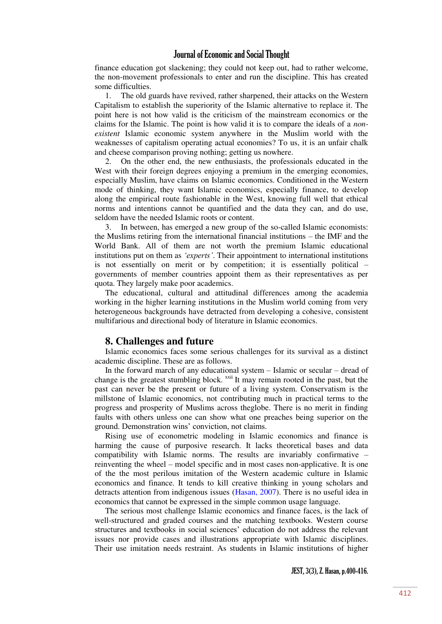finance education got slackening; they could not keep out, had to rather welcome, the non-movement professionals to enter and run the discipline. This has created some difficulties.

1. The old guards have revived, rather sharpened, their attacks on the Western Capitalism to establish the superiority of the Islamic alternative to replace it. The point here is not how valid is the criticism of the mainstream economics or the claims for the Islamic. The point is how valid it is to compare the ideals of a *nonexistent* Islamic economic system anywhere in the Muslim world with the weaknesses of capitalism operating actual economies? To us, it is an unfair chalk and cheese comparison proving nothing; getting us nowhere.

2. On the other end, the new enthusiasts, the professionals educated in the West with their foreign degrees enjoying a premium in the emerging economies, especially Muslim, have claims on Islamic economics. Conditioned in the Western mode of thinking, they want Islamic economics, especially finance, to develop along the empirical route fashionable in the West, knowing full well that ethical norms and intentions cannot be quantified and the data they can, and do use, seldom have the needed Islamic roots or content.

3. In between, has emerged a new group of the so-called Islamic economists: the Muslims retiring from the international financial institutions – the IMF and the World Bank. All of them are not worth the premium Islamic educational institutions put on them as *'experts'*. Their appointment to international institutions is not essentially on merit or by competition; it is essentially political – governments of member countries appoint them as their representatives as per quota. They largely make poor academics.

The educational, cultural and attitudinal differences among the academia working in the higher learning institutions in the Muslim world coming from very heterogeneous backgrounds have detracted from developing a cohesive, consistent multifarious and directional body of literature in Islamic economics.

## **8. Challenges and future**

Islamic economics faces some serious challenges for its survival as a distinct academic discipline. These are as follows.

In the forward march of any educational system – Islamic or secular – dread of change is the greatest stumbling block. xxii It may remain rooted in the past, but the past can never be the present or future of a living system. Conservatism is the millstone of Islamic economics, not contributing much in practical terms to the progress and prosperity of Muslims across theglobe. There is no merit in finding faults with others unless one can show what one preaches being superior on the ground. Demonstration wins" conviction, not claims.

Rising use of econometric modeling in Islamic economics and finance is harming the cause of purposive research. It lacks theoretical bases and data compatibility with Islamic norms. The results are invariably confirmative – reinventing the wheel – model specific and in most cases non-applicative. It is one of the the most perilous imitation of the Western academic culture in Islamic economics and finance. It tends to kill creative thinking in young scholars and detracts attention from indigenous issues [\(Hasan, 2007\)](#page-16-8). There is no useful idea in economics that cannot be expressed in the simple common usage language.

The serious most challenge Islamic economics and finance faces, is the lack of well-structured and graded courses and the matching textbooks. Western course structures and textbooks in social sciences" education do not address the relevant issues nor provide cases and illustrations appropriate with Islamic disciplines. Their use imitation needs restraint. As students in Islamic institutions of higher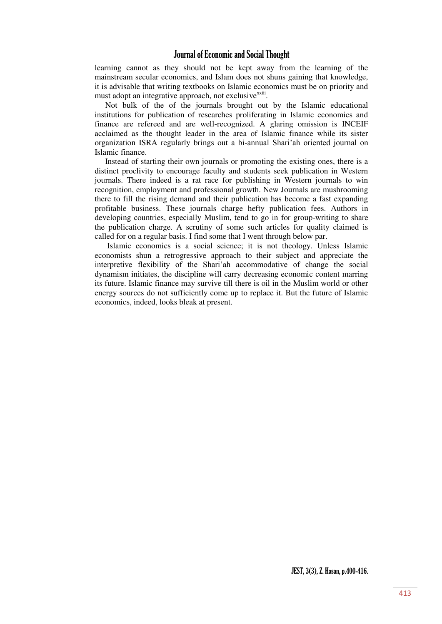learning cannot as they should not be kept away from the learning of the mainstream secular economics, and Islam does not shuns gaining that knowledge, it is advisable that writing textbooks on Islamic economics must be on priority and must adopt an integrative approach, not exclusive<sup>xxiii</sup>.

Not bulk of the of the journals brought out by the Islamic educational institutions for publication of researches proliferating in Islamic economics and finance are refereed and are well-recognized. A glaring omission is INCEIF acclaimed as the thought leader in the area of Islamic finance while its sister organization ISRA regularly brings out a bi-annual Shari"ah oriented journal on Islamic finance.

Instead of starting their own journals or promoting the existing ones, there is a distinct proclivity to encourage faculty and students seek publication in Western journals. There indeed is a rat race for publishing in Western journals to win recognition, employment and professional growth. New Journals are mushrooming there to fill the rising demand and their publication has become a fast expanding profitable business. These journals charge hefty publication fees. Authors in developing countries, especially Muslim, tend to go in for group-writing to share the publication charge. A scrutiny of some such articles for quality claimed is called for on a regular basis. I find some that I went through below par.

 Islamic economics is a social science; it is not theology. Unless Islamic economists shun a retrogressive approach to their subject and appreciate the interpretive flexibility of the Shari"ah accommodative of change the social dynamism initiates, the discipline will carry decreasing economic content marring its future. Islamic finance may survive till there is oil in the Muslim world or other energy sources do not sufficiently come up to replace it. But the future of Islamic economics, indeed, looks bleak at present.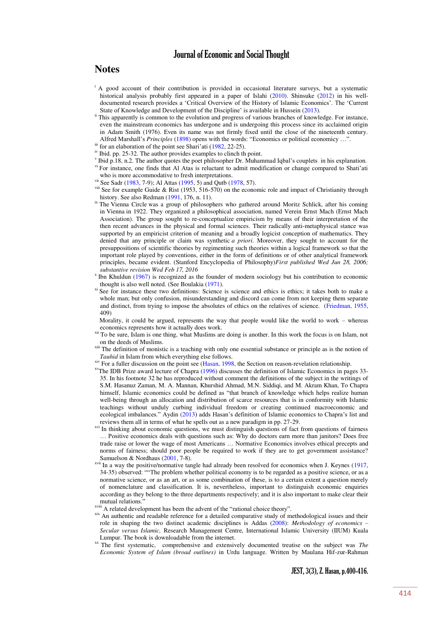# **Notes**

- <sup>i</sup> A good account of their contribution is provided in occasional literature surveys, but a systematic historical analysis probably first appeared in a paper of Islahi [\(2010\)](#page-17-6). Shinsuke [\(2012\)](#page-17-7) in his welldocumented research provides a 'Critical Overview of the History of Islamic Economics'. The 'Current State of Knowledge and Development of the Discipline' is available in Hussein [\(2013\)](#page-17-8).
- ii This apparently is common to the evolution and progress of various branches of knowledge. For instance, even the mainstream economics has undergone and is undergoing this process since its acclaimed origin in Adam Smith (1976). Even its name was not firmly fixed until the close of the nineteenth century. Alfred Marshall"s *Principles* [\(1898\)](#page-17-3) opens with the words: "Economics or political economicy …".
- $\frac{1}{10}$  for an elaboration of the point see Shari'ati ([1982,](#page-17-9) 22-25).
- iv Ibid. pp. 25-32. The author provides examples to clinch th point.
- v Ibid p.18, n.2. The author quotes the poet philosopher Dr. Muhammad Iqbal's couplets in his explanation.
- vi For instance, one finds that Al Atas is reluctant to admit modification or change compared to Shati'ati who is more accommodative to fresh interpretations.
- vii See Sadr [\(1983,](#page-17-10) 7-9); Al Attas [\(1995,](#page-16-1) 5) and Qutb [\(1978,](#page-17-1) 57).
- <sup>viii</sup> See for example Guide & Rist (1953, 516-570) on the economic role and impact of Christianity through history. See also Redman [\(1991,](#page-17-0) 176, n. 11).
- <sup>ix</sup> The Vienna Circle was a group of philosophers who gathered around Moritz Schlick, after his coming in Vienna in 1922. They organized a philosophical association, named Verein Ernst Mach (Ernst Mach Association). The group sought to re-conceptualize empiricism by means of their interpretation of the then recent advances in the physical and formal sciences. Their radically anti-metaphysical stance was supported by an empiricist criterion of meaning and a broadly logicist conception of mathematics. They denied that any principle or claim was synthetic *a priori*. Moreover, they sought to account for the presuppositions of scientific theories by regimenting such theories within a logical framework so that the important role played by conventions, either in the form of definitions or of other analytical framework principles, became evident. [\(Stanford Encyclopedia of Philosophy\)](https://www.google.co.in/url?sa=t&rct=j&q=&esrc=s&source=web&cd=5&cad=rja&uact=8&ved=0ahUKEwj-yrDftrjOAhVEto8KHdQLBt4QFgg4MAQ&url=http%3A%2F%2Fplato.stanford.edu%2Fentries%2Fvienna-circle%2F&usg=AFQjCNGlLJnG3WMRcw59OkjqLsqJCnbODg&sig2=pJ8M38xMZJhZ9Qv1Xgi6zQ)*First published Wed Jun 28, 2006; substantive revision Wed Feb 17, 2016*
- x Ibn Khuldun [\(1967\)](#page-17-11) is recognized as the founder of modern sociology but his contribution to economic thought is also well noted. (See Boulakia [\(1971\)](#page-16-9).
- xi See for instance these two definitions: Science is science and ethics is ethics; it takes both to make a whole man; but only confusion, misunderstanding and discord can come from not keeping them separate and distinct, from trying to impose the absolutes of ethics on the relatives of science. [\(Friedman, 1955,](#page-16-10) 409)

 Morality, it could be argued, represents the way that people would like the world to work – whereas economics represents how it actually does work.

<sup>xii</sup> To be sure, Islam is one thing, what Muslims are doing is another. In this work the focus is on Islam, not on the deeds of Muslims.

<sup>xiii</sup> The definition of monistic is a teaching with only one essential substance or principle as is the notion of *Tauhid* in Islam from which everything else follows.

xiv For a fuller discussion on the point see [\(Hasan, 1998,](#page-16-0) the Section on reason-revelation relationship.

- xvThe IDB Prize award lecture of Chapra [\(1996\)](#page-16-11) discusses the definition of Islamic Economics in pages 33- 35. In his footnote 32 he has reproduced without comment the definitions of the subject in the writings of S.M. Hasanuz Zaman, M. A. Mannan, Khurshid Ahmad, M.N. Siddiqi, and M. Akram Khan, To Chapra himself, Islamic economics could be defined as "that branch of knowledge which helps realize human well-being through an allocation and distribution of scarce resources that is in conformity with Islamic teachings without unduly curbing individual freedom or creating continued macroeconomic and ecological imbalances." Aydin [\(2013](#page-16-12)) adds Hasan"s definition of Islamic economics to Chapra"s list and reviews them all in terms of what he spells out as a new paradigm in pp. 27-29.
- <sup>xvi</sup> In thinking about economic questions, we must distinguish questions of fact from questions of fairness … Positive economics deals with questions such as: Why do doctors earn more than janitors? Does free trade raise or lower the wage of most Americans … Normative Economics involves ethical precepts and norms of fairness; should poor people be required to work if they are to get government assistance? Samuelson & Nordhaus [\(2001,](#page-17-12) 7-8).
- <sup>xvii</sup> In a way the positive/normative tangle had already been resolved for economics when J. Keynes [\(1917,](#page-17-13) 34-35) observed: ""The problem whether political economy is to be regarded as a positive science, or as a normative science, or as an art, or as some combination of these, is to a certain extent a question merely of nomenclature and classification. It is, nevertheless, important to distinguish economic enquiries according as they belong to the three departments respectively; and it is also important to make clear their mutual relations."
- xviii A related development has been the advent of the "rational choice theory".
- xix An authentic and readable reference for a detailed comparative study of methodological issues and their role in shaping the two distinct academic disciplines is Addas [\(2008\)](#page-16-13): *Methodology of economics – Secular versus Islamic,* Research Management Centre, International Islamic University (IIUM) Kuala Lumpur. The book is downloadable from the internet.
- xx The first systematic, comprehensive and extensively documented treatise on the subject was *The Economic System of Islam (broad outlines)* in Urdu language. Written by Maulana Hif-zur-Rahman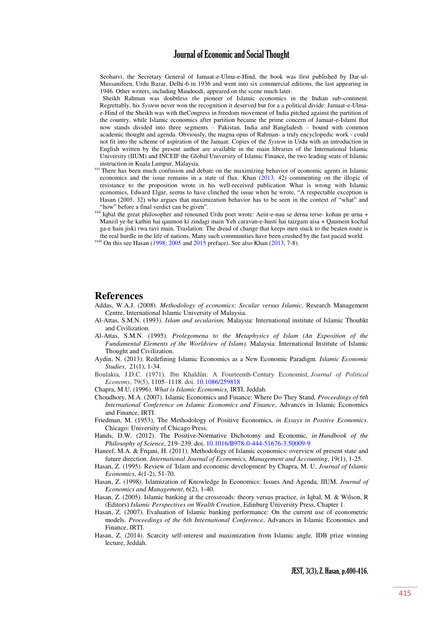Seoharvi, the Secretary General of Jamaat-e-Ulma-e-Hind, the book was first published by Dar-ul-Mussanifeen, Urdu Bazar, Delhi-6 in 1936 and went into six commercial editions, the last appearing in 1946. Other writers, including Maudoodi, appeared on the scene much later.

 Sheikh Rahman was doubtless *the* pioneer of Islamic economics in the Indian sub-continent. Regrettably, his *System* never won the recognition it deserved but for a a political divide: Jamaat-e-Ulmae-Hind of the Sheikh was with theCongress in freedom movement of India pitched against the partition of the country, while Islamic economics after partition became the prime concern of Jamaat-e-Islami that now stands divided into three segments – Pakistan, India and Bangladesh – bound with common academic thought and agenda. Obviously, the magna opus of Rahman- a truly encyclopedic work - could not fit into the scheme of aspiration of the Jamaat. Copies of the *System* in Urdu with an introduction in English written by the present author are available in the main libraries of the International Islamic University (IIUM) and INCEIF the Global University of Islamic Finance, the two leading seats of Islamic instruction in Kuala Lumpur, Malaysia.

- <sup>xxi</sup> There has been much confusion and debate on the maximizing behavior of economic agents in Islamic economics and the issue remains in a state of flux. Khan [\(2013,](#page-17-2) 42) commenting on the illogic of resistance to the proposition wrote in his well-received publication What is wrong with Islamic economics, Edward Elgar, seems to have clinched the issue when he wrote, "A respectable exception is Hasan (2005, 32) who argues that maximization behavior has to be seen in the context of "what" and "how" before a final verdict can be given".
- xxii Iqbal the great philosopher and renouned Urdu poet wrote: Aein-e-nau se derna terse- kohan pe urna + Manzil ye-he kathin hai qaumon ki zindagi main Yeh caravan-e-husti hai taizgam aisa + Qaumein kochal ga-e hain jiski rwa ravi main. Traslation: The dread of change that keeps men stuck to the beaten route is the real hurdle in the life of nations, Many such communities have been crushed by the fast paced world.

 $x<sub>x</sub>$ iii On this see Hasan [\(1998;](#page-16-0) [2005 a](#page-16-3)nd [2015 p](#page-17-14)reface). See also Khan [\(2013,](#page-17-2) 7-8).

#### **References**

- <span id="page-16-13"></span>Addas, W.A.J. (2008). *Methodology of economics: Secular versus Islamic,* Research Management Centre, International Islamic University of Malaysia.
- <span id="page-16-1"></span>Al-Attas, S.M.N. (1993). *Islam and secularism,* Malaysia: International institute of Islamic Thouhkt and Civilization.
- Al-Attas, S.M.N. (1995). *Prolegomena to the Metaphysics of Islam (An Exposition of the Fundamental Elements of the Worldview of Islam).* Malaysia: International Institute of Islamic Thought and Civilization.
- <span id="page-16-12"></span>Aydin, N. (2013). Redefining Islamic Economics as a New Economic Paradigm*. Islamic Economic Studies*, 21(1), 1-34.
- <span id="page-16-9"></span>Boulakia, J.D.C. (1971). Ibn Khaldûn: A Fourteenth-Century Economist, *Journal of Political Economy*, 79(5), 1105–1118. doi. [10.1086/259818](http://dx.doi.org/10.1086/259818)
- <span id="page-16-11"></span>Chapra, M.U. (1996). *What is Islamic Economics,* IRTI, Jeddah.
- <span id="page-16-6"></span>Choudhory, M.A. (2007). Islamic Economics and Finance: Where Do They Stand*, Proceedings of 6th International Conference on Islamic Economics and Finance*, Advances in Islamic Economics and Finance, IRTI.
- <span id="page-16-10"></span>Friedman, M. (1953), The Methodology of Positive Economics*, in Essays in Positive Economics*. Chicago: University of Chicago Press.
- <span id="page-16-5"></span>Hands, D.W. (2012). The Positive-Normative Dichotomy and Economic*, i[n Handbook of the](http://www.sciencedirect.com/science/ebookseries/18789846)  [Philosophy of Science](http://www.sciencedirect.com/science/ebookseries/18789846)*, 219–239. doi. [10.1016/B978-0-444-51676-3.50009-9](http://dx.doi.org/10.1016/B978-0-444-51676-3.50009-9)
- <span id="page-16-7"></span>Haneef, M.A. & Frqani, H. (2011). Methodology of Islamic economics: overview of present state and future direction*. International Journal of Economics, Management and Accounting*, 19(1), 1-25.
- <span id="page-16-2"></span>Hasan, Z. (1995). Review of 'Islam and economic development' by Chapra, M. U, *Journal of Islamic Economics*, 4(1-2), 51-70.
- <span id="page-16-0"></span>Hasan, Z. (1998). Islamization of Knowledge In Economics: Issues And Agenda, IIUM, *Journal of Economics and Management*, 6(2), 1-40.
- <span id="page-16-3"></span>Hasan, Z. (2005). Islamic banking at the crossroads: theory versus practice*, in* Iqbal, M. & Wilson, R (Editors) *Islamic Perspectives on Wealth Creation*, Edinburg University Press, Chapter 1.
- <span id="page-16-8"></span>Hasan, Z. (2007). Evaluation of Islamic banking performance: On the current use of econometric models. *Proceedings of the 6th International Conference*, Advances in Islamic Economics and Finance, IRTI.
- <span id="page-16-4"></span>Hasan, Z. (2014). Scarcity self-interest and maximization from Islamic angle*,* IDB prize winning lecture, Jeddah.